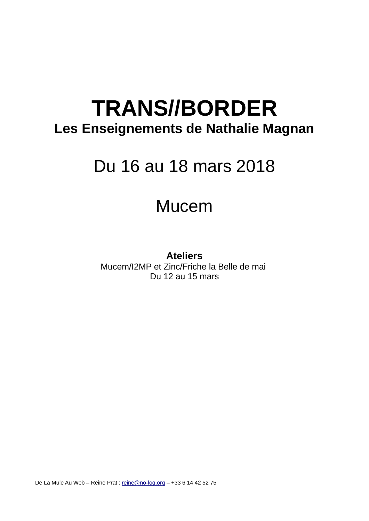# **TRANS//BORDER Les Enseignements de Nathalie Magnan**

# Du 16 au 18 mars 2018

# Mucem

**Ateliers**

Mucem/I2MP et Zinc/Friche la Belle de mai Du 12 au 15 mars

De La Mule Au Web - Reine Prat : reine@no-log.org - +33 6 14 42 52 75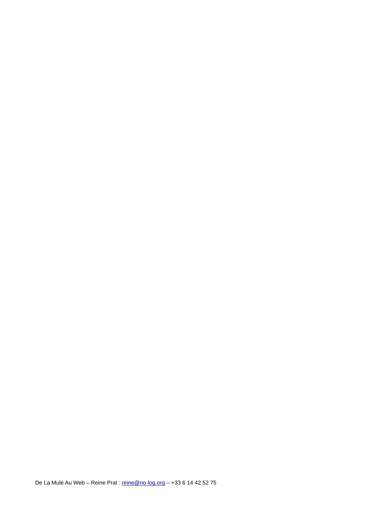De La Mule Au Web – Reine Prat : reine@no-log.org – +33 6 14 42 52 75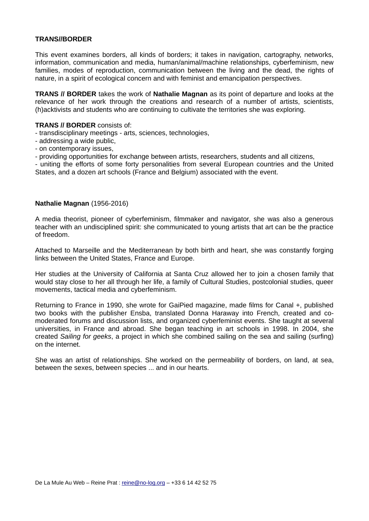#### **TRANS//BORDER**

This event examines borders, all kinds of borders; it takes in navigation, cartography, networks, information, communication and media, human/animal/machine relationships, cyberfeminism, new families, modes of reproduction, communication between the living and the dead, the rights of nature, in a spirit of ecological concern and with feminist and emancipation perspectives.

**TRANS // BORDER** takes the work of **Nathalie Magnan** as its point of departure and looks at the relevance of her work through the creations and research of a number of artists, scientists, (h)acktivists and students who are continuing to cultivate the territories she was exploring.

#### **TRANS // BORDER** consists of:

- transdisciplinary meetings arts, sciences, technologies,
- addressing a wide public,
- on contemporary issues,
- providing opportunities for exchange between artists, researchers, students and all citizens,

- uniting the efforts of some forty personalities from several European countries and the United States, and a dozen art schools (France and Belgium) associated with the event.

#### **Nathalie Magnan** (1956-2016)

A media theorist, pioneer of cyberfeminism, filmmaker and navigator, she was also a generous teacher with an undisciplined spirit: she communicated to young artists that art can be the practice of freedom.

Attached to Marseille and the Mediterranean by both birth and heart, she was constantly forging links between the United States, France and Europe.

Her studies at the University of California at Santa Cruz allowed her to join a chosen family that would stay close to her all through her life, a family of Cultural Studies, postcolonial studies, queer movements, tactical media and cyberfeminism.

Returning to France in 1990, she wrote for GaiPied magazine, made films for Canal +, published two books with the publisher Ensba, translated Donna Haraway into French, created and comoderated forums and discussion lists, and organized cyberfeminist events. She taught at several universities, in France and abroad. She began teaching in art schools in 1998. In 2004, she created *Sailing for geeks*, a project in which she combined sailing on the sea and sailing (surfing) on the internet.

She was an artist of relationships. She worked on the permeability of borders, on land, at sea, between the sexes, between species ... and in our hearts.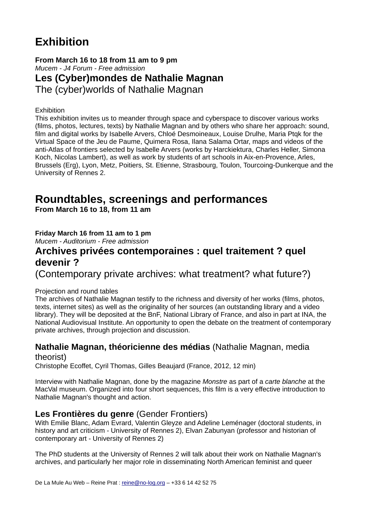# **Exhibition**

**From March 16 to 18 from 11 am to 9 pm** *Mucem - J4 Forum - Free admission* **Les (Cyber)mondes de Nathalie Magnan** The (cyber)worlds of Nathalie Magnan

### **Exhibition**

This exhibition invites us to meander through space and cyberspace to discover various works (films, photos, lectures, texts) by Nathalie Magnan and by others who share her approach: sound, film and digital works by Isabelle Arvers, Chloé Desmoineaux, Louise Drulhe, Maria Ptqk for the Virtual Space of the Jeu de Paume, Quimera Rosa, Ilana Salama Ortar, maps and videos of the anti-Atlas of frontiers selected by Isabelle Arvers (works by Harckiektura, Charles Heller, Simona Koch, Nicolas Lambert), as well as work by students of art schools in Aix-en-Provence, Arles, Brussels (Erg), Lyon, Metz, Poitiers, St. Etienne, Strasbourg, Toulon, Tourcoing-Dunkerque and the University of Rennes 2.

## **Roundtables, screenings and performances**

**From March 16 to 18, from 11 am**

## **Friday March 16 from 11 am to 1 pm**

*Mucem - Auditorium - Free admission*

## **Archives privées contemporaines : quel traitement ? quel devenir ?**

(Contemporary private archives: what treatment? what future?)

#### Projection and round tables

The archives of Nathalie Magnan testify to the richness and diversity of her works (films, photos, texts, internet sites) as well as the originality of her sources (an outstanding library and a video library). They will be deposited at the BnF, National Library of France, and also in part at INA, the National Audiovisual Institute. An opportunity to open the debate on the treatment of contemporary private archives, through projection and discussion.

## **Nathalie Magnan, théoricienne des médias** (Nathalie Magnan, media theorist)

Christophe Ecoffet, Cyril Thomas, Gilles Beaujard (France, 2012, 12 min)

Interview with Nathalie Magnan, done by the magazine *Monstre* as part of a *carte blanche* at the MacVal museum. Organized into four short sequences, this film is a very effective introduction to Nathalie Magnan's thought and action.

## **Les Frontières du genre** (Gender Frontiers)

With Emilie Blanc, Adam Evrard, Valentin Gleyze and Adeline Leménager (doctoral students, in history and art criticism - University of Rennes 2), Elvan Zabunyan (professor and historian of contemporary art - University of Rennes 2)

The PhD students at the University of Rennes 2 will talk about their work on Nathalie Magnan's archives, and particularly her major role in disseminating North American feminist and queer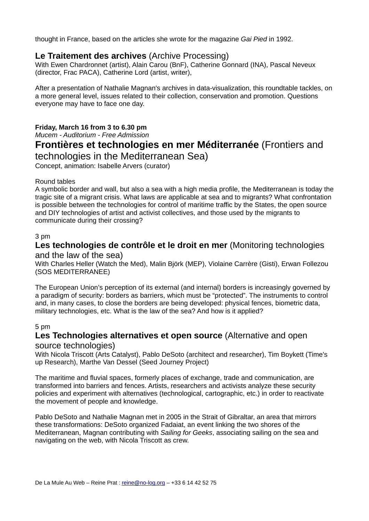thought in France, based on the articles she wrote for the magazine *Gai Pied* in 1992.

## **Le Traitement des archives** (Archive Processing)

With Ewen Chardronnet (artist), Alain Carou (BnF), Catherine Gonnard (INA), Pascal Neveux (director, Frac PACA), Catherine Lord (artist, writer),

After a presentation of Nathalie Magnan's archives in data-visualization, this roundtable tackles, on a more general level, issues related to their collection, conservation and promotion. Questions everyone may have to face one day.

#### **Friday, March 16 from 3 to 6.30 pm**

*Mucem - Auditorium - Free Admission*

## **Frontières et technologies en mer Méditerranée** (Frontiers and technologies in the Mediterranean Sea)

Concept, animation: Isabelle Arvers (curator)

#### Round tables

A symbolic border and wall, but also a sea with a high media profile, the Mediterranean is today the tragic site of a migrant crisis. What laws are applicable at sea and to migrants? What confrontation is possible between the technologies for control of maritime traffic by the States, the open source and DIY technologies of artist and activist collectives, and those used by the migrants to communicate during their crossing?

#### 3 pm

## **Les technologies de contrôle et le droit en mer** (Monitoring technologies and the law of the sea)

With Charles Heller (Watch the Med), Malin Björk (MEP), Violaine Carrère (Gisti), Erwan Follezou (SOS MEDITERRANEE)

The European Union's perception of its external (and internal) borders is increasingly governed by a paradigm of security: borders as barriers, which must be "protected". The instruments to control and, in many cases, to close the borders are being developed: physical fences, biometric data, military technologies, etc. What is the law of the sea? And how is it applied?

#### 5 pm

## **Les Technologies alternatives et open source** (Alternative and open source technologies)

With Nicola Triscott (Arts Catalyst), Pablo DeSoto (architect and researcher), Tim Boykett (Time's up Research), Marthe Van Dessel (Seed Journey Project)

The maritime and fluvial spaces, formerly places of exchange, trade and communication, are transformed into barriers and fences. Artists, researchers and activists analyze these security policies and experiment with alternatives (technological, cartographic, etc.) in order to reactivate the movement of people and knowledge.

Pablo DeSoto and Nathalie Magnan met in 2005 in the Strait of Gibraltar, an area that mirrors these transformations: DeSoto organized Fadaiat, an event linking the two shores of the Mediterranean, Magnan contributing with *Sailing for Geeks*, associating sailing on the sea and navigating on the web, with Nicola Triscott as crew.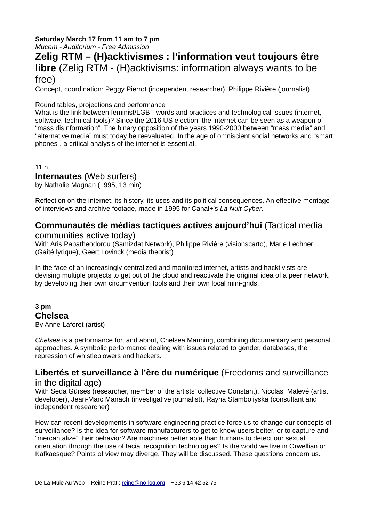## **Saturday March 17 from 11 am to 7 pm**

*Mucem - Auditorium - Free Admission*

## **Zelig RTM – (H)acktivismes : l'information veut toujours être libre** (Zelig RTM - (H)acktivisms: information always wants to be free)

Concept, coordination: Peggy Pierrot (independent researcher), Philippe Rivière (journalist)

#### Round tables, projections and performance

What is the link between feminist/LGBT words and practices and technological issues (internet, software, technical tools)? Since the 2016 US election, the internet can be seen as a weapon of "mass disinformation". The binary opposition of the years 1990-2000 between "mass media" and "alternative media" must today be reevaluated. In the age of omniscient social networks and "smart phones", a critical analysis of the internet is essential.

### 11 h **Internautes** (Web surfers)

by Nathalie Magnan (1995, 13 min)

Reflection on the internet, its history, its uses and its political consequences. An effective montage of interviews and archive footage, made in 1995 for Canal+'s *La Nuit Cyber*.

## **Communautés de médias tactiques actives aujourd'hui** (Tactical media

communities active today) With Aris Papatheodorou (Samizdat Network), Philippe Rivière (visionscarto), Marie Lechner (Gaîté lyrique), Geert Lovinck (media theorist)

In the face of an increasingly centralized and monitored internet, artists and hacktivists are devising multiple projects to get out of the cloud and reactivate the original idea of a peer network, by developing their own circumvention tools and their own local mini-grids.

#### **3 pm Chelsea** By Anne Laforet (artist)

*Chelsea* is a performance for, and about, Chelsea Manning, combining documentary and personal approaches. A symbolic performance dealing with issues related to gender, databases, the repression of whistleblowers and hackers.

## **Libertés et surveillance à l'ère du numérique** (Freedoms and surveillance in the digital age)

With Seda Gürses (researcher, member of the artists' collective Constant), Nicolas Malevé (artist, developer), Jean-Marc Manach (investigative journalist), Rayna Stamboliyska (consultant and independent researcher)

How can recent developments in software engineering practice force us to change our concepts of surveillance? Is the idea for software manufacturers to get to know users better, or to capture and "mercantalize" their behavior? Are machines better able than humans to detect our sexual orientation through the use of facial recognition technologies? Is the world we live in Orwellian or Kafkaesque? Points of view may diverge. They will be discussed. These questions concern us.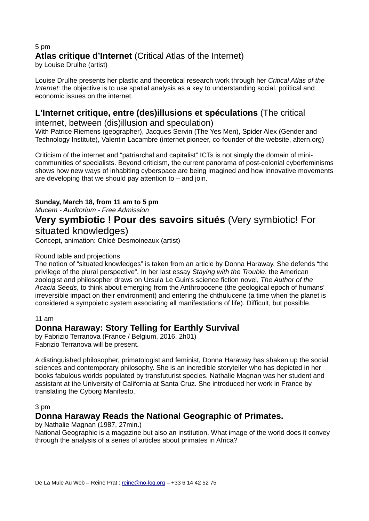## 5 pm **Atlas critique d'Internet** (Critical Atlas of the Internet)

by Louise Drulhe (artist)

Louise Drulhe presents her plastic and theoretical research work through her *Critical Atlas of the Internet*: the objective is to use spatial analysis as a key to understanding social, political and economic issues on the internet.

## **L'Internet critique, entre (des)illusions et spéculations** (The critical

internet, between (dis)illusion and speculation)

With Patrice Riemens (geographer), Jacques Servin (The Yes Men), Spider Alex (Gender and Technology Institute), Valentin Lacambre (internet pioneer, co-founder of the website, altern.org)

Criticism of the internet and "patriarchal and capitalist" ICTs is not simply the domain of minicommunities of specialists. Beyond criticism, the current panorama of post-colonial cyberfeminisms shows how new ways of inhabiting cyberspace are being imagined and how innovative movements are developing that we should pay attention to – and join.

## **Sunday, March 18, from 11 am to 5 pm**

*Mucem - Auditorium - Free Admission*

## **Very symbiotic ! Pour des savoirs situés** (Very symbiotic! For situated knowledges)

Concept, animation: Chloé Desmoineaux (artist)

#### Round table and projections

The notion of "situated knowledges" is taken from an article by Donna Haraway. She defends "the privilege of the plural perspective". In her last essay *Staying with the Trouble*, the American zoologist and philosopher draws on Ursula Le Guin's science fiction novel, *The Author of the Acacia Seeds*, to think about emerging from the Anthropocene (the geological epoch of humans' irreversible impact on their environment) and entering the chthulucene (a time when the planet is considered a sympoietic system associating all manifestations of life). Difficult, but possible.

#### 11 am

## **Donna Haraway: Story Telling for Earthly Survival**

by Fabrizio Terranova (France / Belgium, 2016, 2h01) Fabrizio Terranova will be present.

A distinguished philosopher, primatologist and feminist, Donna Haraway has shaken up the social sciences and contemporary philosophy. She is an incredible storyteller who has depicted in her books fabulous worlds populated by transfuturist species. Nathalie Magnan was her student and assistant at the University of California at Santa Cruz. She introduced her work in France by translating the Cyborg Manifesto.

#### 3 pm

## **Donna Haraway Reads the National Geographic of Primates.**

by Nathalie Magnan (1987, 27min.)

National Geographic is a magazine but also an institution. What image of the world does it convey through the analysis of a series of articles about primates in Africa?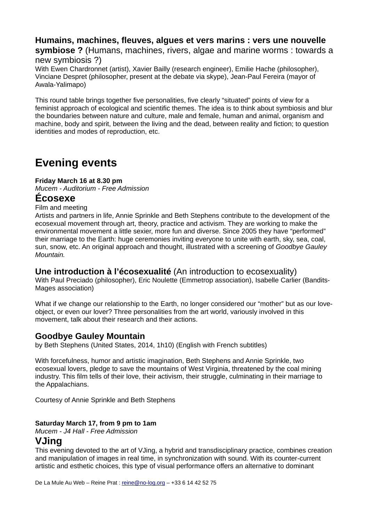**Humains, machines, fleuves, algues et vers marins : vers une nouvelle symbiose ?** (Humans, machines, rivers, algae and marine worms : towards a new symbiosis ?)

With Ewen Chardronnet (artist), Xavier Bailly (research engineer), Emilie Hache (philosopher), Vinciane Despret (philosopher, present at the debate via skype), Jean-Paul Fereira (mayor of Awala-Yalimapo)

This round table brings together five personalities, five clearly "situated" points of view for a feminist approach of ecological and scientific themes. The idea is to think about symbiosis and blur the boundaries between nature and culture, male and female, human and animal, organism and machine, body and spirit, between the living and the dead, between reality and fiction; to question identities and modes of reproduction, etc.

## **Evening events**

#### **Friday March 16 at 8.30 pm**

*Mucem - Auditorium - Free Admission*

## **Écosexe**

Film and meeting

Artists and partners in life, Annie Sprinkle and Beth Stephens contribute to the development of the ecosexual movement through art, theory, practice and activism. They are working to make the environmental movement a little sexier, more fun and diverse. Since 2005 they have "performed" their marriage to the Earth: huge ceremonies inviting everyone to unite with earth, sky, sea, coal, sun, snow, etc. An original approach and thought, illustrated with a screening of *Goodbye Gauley Mountain.*

## **Une introduction à l'écosexualité** (An introduction to ecosexuality)

With Paul Preciado (philosopher), Eric Noulette (Emmetrop association), Isabelle Carlier (Bandits-Mages association)

What if we change our relationship to the Earth, no longer considered our "mother" but as our loveobject, or even our lover? Three personalities from the art world, variously involved in this movement, talk about their research and their actions.

## **Goodbye Gauley Mountain**

by Beth Stephens (United States, 2014, 1h10) (English with French subtitles)

With forcefulness, humor and artistic imagination, Beth Stephens and Annie Sprinkle, two ecosexual lovers, pledge to save the mountains of West Virginia, threatened by the coal mining industry. This film tells of their love, their activism, their struggle, culminating in their marriage to the Appalachians.

Courtesy of Annie Sprinkle and Beth Stephens

#### **Saturday March 17, from 9 pm to 1am**

*Mucem - J4 Hall - Free Admission*

## **VJing**

This evening devoted to the art of VJing, a hybrid and transdisciplinary practice, combines creation and manipulation of images in real time, in synchronization with sound. With its counter-current artistic and esthetic choices, this type of visual performance offers an alternative to dominant

De La Mule Au Web – Reine Prat : reine@no-log.org – +33 6 14 42 52 75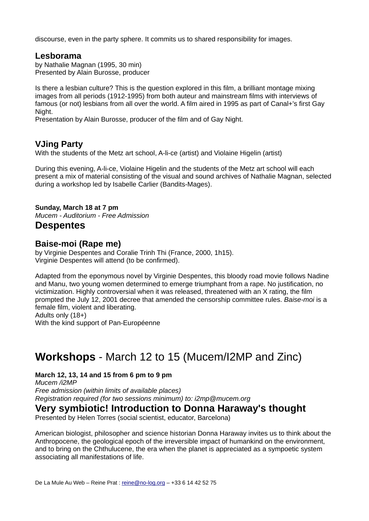discourse, even in the party sphere. It commits us to shared responsibility for images.

### **Lesborama**

by Nathalie Magnan (1995, 30 min) Presented by Alain Burosse, producer

Is there a lesbian culture? This is the question explored in this film, a brilliant montage mixing images from all periods (1912-1995) from both auteur and mainstream films with interviews of famous (or not) lesbians from all over the world. A film aired in 1995 as part of Canal+'s first Gay Night.

Presentation by Alain Burosse, producer of the film and of Gay Night.

## **VJing Party**

With the students of the Metz art school, A-li-ce (artist) and Violaine Higelin (artist)

During this evening, A-li-ce, Violaine Higelin and the students of the Metz art school will each present a mix of material consisting of the visual and sound archives of Nathalie Magnan, selected during a workshop led by Isabelle Carlier (Bandits-Mages).

#### **Sunday, March 18 at 7 pm**

*Mucem - Auditorium - Free Admission*

## **Despentes**

## **Baise-moi (Rape me)**

by Virginie Despentes and Coralie Trinh Thi (France, 2000, 1h15). Virginie Despentes will attend (to be confirmed).

Adapted from the eponymous novel by Virginie Despentes, this bloody road movie follows Nadine and Manu, two young women determined to emerge triumphant from a rape. No justification, no victimization. Highly controversial when it was released, threatened with an X rating, the film prompted the July 12, 2001 decree that amended the censorship committee rules. *Baise-moi* is a female film, violent and liberating.

Adults only (18+) With the kind support of Pan-Européenne

## **Workshops** - March 12 to 15 (Mucem/I2MP and Zinc)

**March 12, 13, 14 and 15 from 6 pm to 9 pm**

*Mucem /i2MP Free admission (within limits of available places) Registration required (for two sessions minimum) to: i2mp@mucem.org*

## **Very symbiotic! Introduction to Donna Haraway's thought**

Presented by Helen Torres (social scientist, educator, Barcelona)

American biologist, philosopher and science historian Donna Haraway invites us to think about the Anthropocene, the geological epoch of the irreversible impact of humankind on the environment, and to bring on the Chthulucene, the era when the planet is appreciated as a sympoetic system associating all manifestations of life.